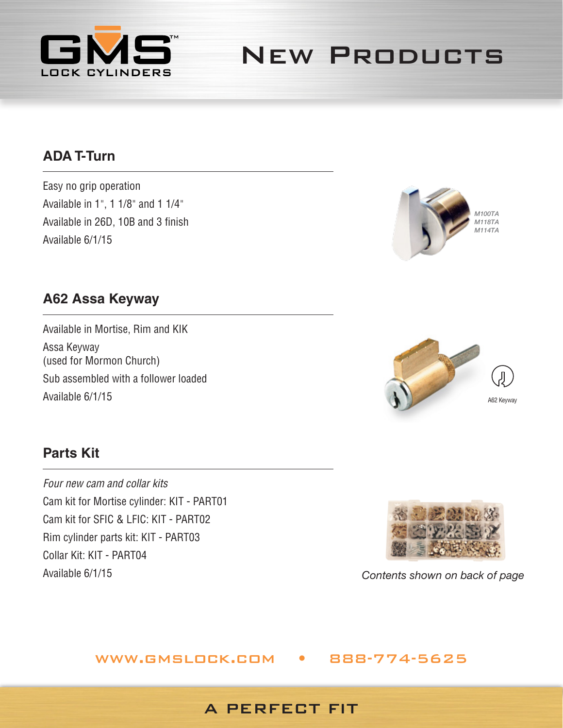

New Products

## **ADA T-Turn**

Easy no grip operation Available in 1", 1 1/8" and 1 1/4" Available in 26D, 10B and 3 finish Available 6/1/15



### **A62 Assa Keyway**

Available in Mortise, Rim and KIK Assa Keyway (used for Mormon Church) Sub assembled with a follower loaded Available 6/1/15



# **Parts Kit**

*Four new cam and collar kits* Cam kit for Mortise cylinder: KIT - PART01 Cam kit for SFIC & LFIC: KIT - PART02 Rim cylinder parts kit: KIT - PART03 Collar Kit: KIT - PART04 Available 6/1/15



*Contents shown on back of page*

#### www.gmslock.com • 888-774-5625

#### A PERFECT FIT